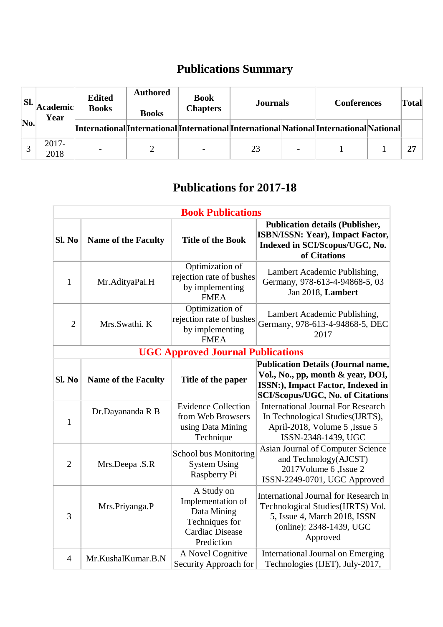## **Publications Summary**

| SI. | Academic <br>Year | <b>Edited</b><br><b>Books</b> | <b>Authored</b><br><b>Books</b>                                                        | <b>Book</b><br><b>Chapters</b> | <b>Journals</b> |                          | <b>Conferences</b> | Total |
|-----|-------------------|-------------------------------|----------------------------------------------------------------------------------------|--------------------------------|-----------------|--------------------------|--------------------|-------|
| No. |                   |                               | [International]International]International]InternationalNational]InternationalNational |                                |                 |                          |                    |       |
|     | $2017 -$<br>2018  |                               |                                                                                        |                                | 23              | $\overline{\phantom{a}}$ |                    | 27    |

## **Publications for 2017-18**

| <b>Book Publications</b>                 |                            |                                                                                                          |                                                                                                                                                                |  |  |
|------------------------------------------|----------------------------|----------------------------------------------------------------------------------------------------------|----------------------------------------------------------------------------------------------------------------------------------------------------------------|--|--|
| Sl. No                                   | <b>Name of the Faculty</b> | <b>Title of the Book</b>                                                                                 | <b>Publication details (Publisher,</b><br><b>ISBN/ISSN: Year), Impact Factor,</b><br>Indexed in SCI/Scopus/UGC, No.<br>of Citations                            |  |  |
| $\mathbf{1}$                             | Mr.AdityaPai.H             | Optimization of<br>rejection rate of bushes<br>by implementing<br><b>FMEA</b>                            | Lambert Academic Publishing,<br>Germany, 978-613-4-94868-5, 03<br>Jan 2018, Lambert                                                                            |  |  |
| $\overline{2}$                           | Mrs.Swathi. K              | Optimization of<br>rejection rate of bushes<br>by implementing<br><b>FMEA</b>                            | Lambert Academic Publishing,<br>Germany, 978-613-4-94868-5, DEC<br>2017                                                                                        |  |  |
| <b>UGC Approved Journal Publications</b> |                            |                                                                                                          |                                                                                                                                                                |  |  |
| Sl. No                                   | <b>Name of the Faculty</b> | Title of the paper                                                                                       | <b>Publication Details (Journal name,</b><br>Vol., No., pp, month & year, DOI,<br>ISSN:), Impact Factor, Indexed in<br><b>SCI/Scopus/UGC, No. of Citations</b> |  |  |
| $\mathbf{1}$                             | Dr.Dayananda R B           | <b>Evidence Collection</b><br>from Web Browsers<br>using Data Mining<br>Technique                        | <b>International Journal For Research</b><br>In Technological Studies(IJRTS),<br>April-2018, Volume 5, Issue 5<br>ISSN-2348-1439, UGC                          |  |  |
| $\overline{2}$                           | Mrs.Deepa .S.R             | <b>School bus Monitoring</b><br><b>System Using</b><br>Raspberry Pi                                      | Asian Journal of Computer Science<br>and Technology(AJCST)<br>2017Volume 6, Issue 2<br>ISSN-2249-0701, UGC Approved                                            |  |  |
| 3                                        | Mrs.Priyanga.P             | A Study on<br>Implementation of<br>Data Mining<br>Techniques for<br><b>Cardiac Disease</b><br>Prediction | International Journal for Research in<br>Technological Studies(IJRTS) Vol.<br>5, Issue 4, March 2018, ISSN<br>(online): 2348-1439, UGC<br>Approved             |  |  |
| $\overline{4}$                           | Mr.KushalKumar.B.N         | A Novel Cognitive<br>Security Approach for                                                               | <b>International Journal on Emerging</b><br>Technologies (IJET), July-2017,                                                                                    |  |  |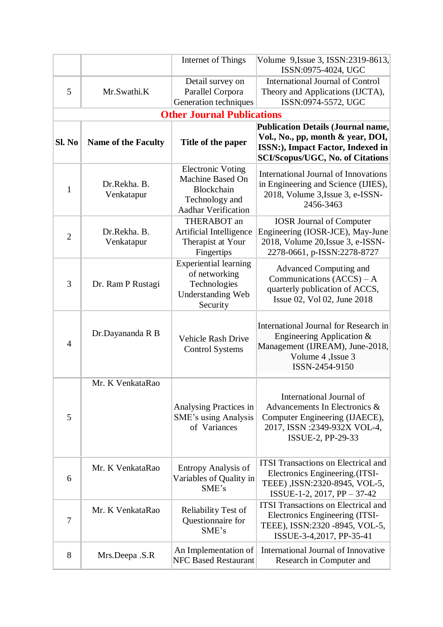|                |                            | Internet of Things                                                                                                | Volume 9, Issue 3, ISSN: 2319-8613,<br>ISSN:0975-4024, UGC                                                                                                     |  |  |
|----------------|----------------------------|-------------------------------------------------------------------------------------------------------------------|----------------------------------------------------------------------------------------------------------------------------------------------------------------|--|--|
| 5              | Mr.Swathi.K                | Detail survey on<br>Parallel Corpora<br>Generation techniques                                                     | <b>International Journal of Control</b><br>Theory and Applications (IJCTA),<br>ISSN:0974-5572, UGC                                                             |  |  |
|                |                            | <b>Other Journal Publications</b>                                                                                 |                                                                                                                                                                |  |  |
| Sl. No         | <b>Name of the Faculty</b> | Title of the paper                                                                                                | <b>Publication Details (Journal name,</b><br>Vol., No., pp, month & year, DOI,<br>ISSN:), Impact Factor, Indexed in<br><b>SCI/Scopus/UGC, No. of Citations</b> |  |  |
| 1              | Dr.Rekha. B.<br>Venkatapur | <b>Electronic Voting</b><br>Machine Based On<br><b>Blockchain</b><br>Technology and<br><b>Aadhar Verification</b> | <b>International Journal of Innovations</b><br>in Engineering and Science (IJIES),<br>2018, Volume 3, Issue 3, e-ISSN-<br>2456-3463                            |  |  |
| $\overline{2}$ | Dr.Rekha, B.<br>Venkatapur | THERABOT an<br>Artificial Intelligence<br>Therapist at Your<br>Fingertips                                         | <b>IOSR Journal of Computer</b><br>Engineering (IOSR-JCE), May-June<br>2018, Volume 20, Issue 3, e-ISSN-<br>2278-0661, p-ISSN:2278-8727                        |  |  |
| 3              | Dr. Ram P Rustagi          | <b>Experiential learning</b><br>of networking<br>Technologies<br><b>Understanding Web</b><br>Security             | Advanced Computing and<br>Communications $(ACCS) - A$<br>quarterly publication of ACCS,<br>Issue 02, Vol 02, June 2018                                         |  |  |
| $\overline{4}$ | Dr.Dayananda R B           | <b>Vehicle Rash Drive</b><br><b>Control Systems</b>                                                               | International Journal for Research in<br>Engineering Application $&$<br>Management (IJREAM), June-2018,<br>Volume 4, Issue 3<br>ISSN-2454-9150                 |  |  |
| 5              | Mr. K VenkataRao           | Analysing Practices in<br>SME's using Analysis<br>of Variances                                                    | International Journal of<br>Advancements In Electronics &<br>Computer Engineering (IJAECE),<br>2017, ISSN :2349-932X VOL-4,<br>ISSUE-2, PP-29-33               |  |  |
| 6              | Mr. K VenkataRao           | <b>Entropy Analysis of</b><br>Variables of Quality in<br>SME's                                                    | <b>ITSI Transactions on Electrical and</b><br>Electronics Engineering. (ITSI-<br>TEEE), ISSN:2320-8945, VOL-5,<br>ISSUE-1-2, 2017, PP - 37-42                  |  |  |
| 7              | Mr. K VenkataRao           | Reliability Test of<br>Questionnaire for<br>SME's                                                                 | <b>ITSI Transactions on Electrical and</b><br>Electronics Engineering (ITSI-<br>TEEE), ISSN:2320 -8945, VOL-5,<br>ISSUE-3-4,2017, PP-35-41                     |  |  |
| 8              | Mrs.Deepa .S.R             | An Implementation of<br><b>NFC Based Restaurant</b>                                                               | International Journal of Innovative<br>Research in Computer and                                                                                                |  |  |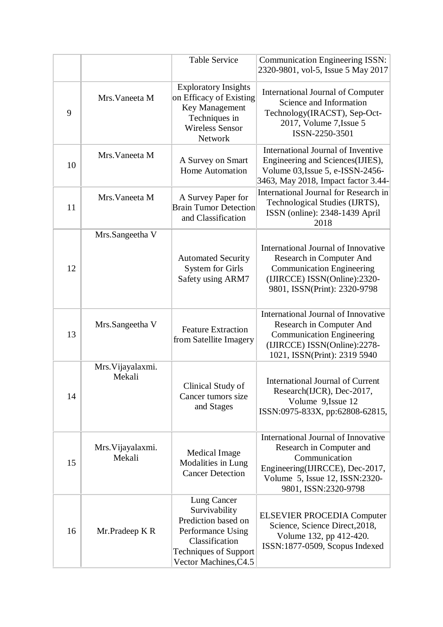|    |                             | <b>Table Service</b>                                                                                                                                | <b>Communication Engineering ISSN:</b><br>2320-9801, vol-5, Issue 5 May 2017                                                                                                  |
|----|-----------------------------|-----------------------------------------------------------------------------------------------------------------------------------------------------|-------------------------------------------------------------------------------------------------------------------------------------------------------------------------------|
| 9  | Mrs. Vaneeta M              | <b>Exploratory Insights</b><br>on Efficacy of Existing<br>Key Management<br>Techniques in<br><b>Wireless Sensor</b><br>Network                      | <b>International Journal of Computer</b><br>Science and Information<br>Technology(IRACST), Sep-Oct-<br>2017, Volume 7, Issue 5<br>ISSN-2250-3501                              |
| 10 | Mrs. Vaneeta M              | A Survey on Smart<br><b>Home Automation</b>                                                                                                         | International Journal of Inventive<br>Engineering and Sciences(IJIES),<br>Volume 03, Issue 5, e-ISSN-2456-<br>3463, May 2018, Impact factor 3.44-                             |
| 11 | Mrs. Vaneeta M              | A Survey Paper for<br><b>Brain Tumor Detection</b><br>and Classification                                                                            | International Journal for Research in<br>Technological Studies (IJRTS),<br>ISSN (online): 2348-1439 April<br>2018                                                             |
| 12 | Mrs.Sangeetha V             | <b>Automated Security</b><br><b>System for Girls</b><br>Safety using ARM7                                                                           | International Journal of Innovative<br>Research in Computer And<br><b>Communication Engineering</b><br>(IJIRCCE) ISSN(Online):2320-<br>9801, ISSN(Print): 2320-9798           |
| 13 | Mrs.Sangeetha V             | <b>Feature Extraction</b><br>from Satellite Imagery                                                                                                 | International Journal of Innovative<br>Research in Computer And<br><b>Communication Engineering</b><br>(IJIRCCE) ISSN(Online):2278-<br>1021, ISSN(Print): 2319 5940           |
| 14 | Mrs. Vijayalaxmi.<br>Mekali | Clinical Study of<br>Cancer tumors size<br>and Stages                                                                                               | <b>International Journal of Current</b><br>Research(IJCR), Dec-2017,<br>Volume 9, Issue 12<br>ISSN:0975-833X, pp:62808-62815,                                                 |
| 15 | Mrs. Vijayalaxmi.<br>Mekali | Medical Image<br>Modalities in Lung<br><b>Cancer Detection</b>                                                                                      | International Journal of Innovative<br>Research in Computer and<br>Communication<br>Engineering(IJIRCCE), Dec-2017,<br>Volume 5, Issue 12, ISSN:2320-<br>9801, ISSN:2320-9798 |
| 16 | Mr.Pradeep K R              | Lung Cancer<br>Survivability<br>Prediction based on<br>Performance Using<br>Classification<br><b>Techniques of Support</b><br>Vector Machines, C4.5 | <b>ELSEVIER PROCEDIA Computer</b><br>Science, Science Direct, 2018,<br>Volume 132, pp 412-420.<br>ISSN:1877-0509, Scopus Indexed                                              |